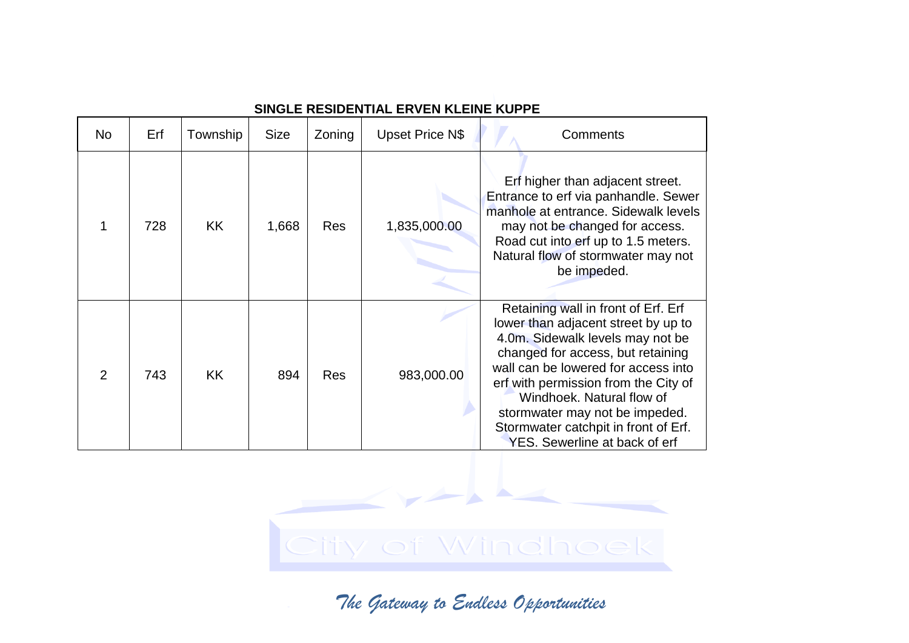| <b>No</b>      | Erf | Township  | <b>Size</b> | Zoning     | Upset Price N\$ | Comments                                                                                                                                                                                                                                                                                                                                                                    |
|----------------|-----|-----------|-------------|------------|-----------------|-----------------------------------------------------------------------------------------------------------------------------------------------------------------------------------------------------------------------------------------------------------------------------------------------------------------------------------------------------------------------------|
|                | 728 | KK        | 1,668       | <b>Res</b> | 1,835,000.00    | Erf higher than adjacent street.<br>Entrance to erf via panhandle. Sewer<br>manhole at entrance. Sidewalk levels<br>may not be changed for access.<br>Road cut into erf up to 1.5 meters.<br>Natural flow of stormwater may not<br>be impeded.                                                                                                                              |
| $\overline{2}$ | 743 | <b>KK</b> | 894         | <b>Res</b> | 983,000.00      | Retaining wall in front of Erf. Erf.<br>lower than adjacent street by up to<br>4.0m. Sidewalk levels may not be<br>changed for access, but retaining<br>wall can be lowered for access into<br>erf with permission from the City of<br>Windhoek. Natural flow of<br>stormwater may not be impeded.<br>Stormwater catchpit in front of Erf.<br>YES. Sewerline at back of erf |

## **SINGLE RESIDENTIAL ERVEN KLEINE KUPPE**

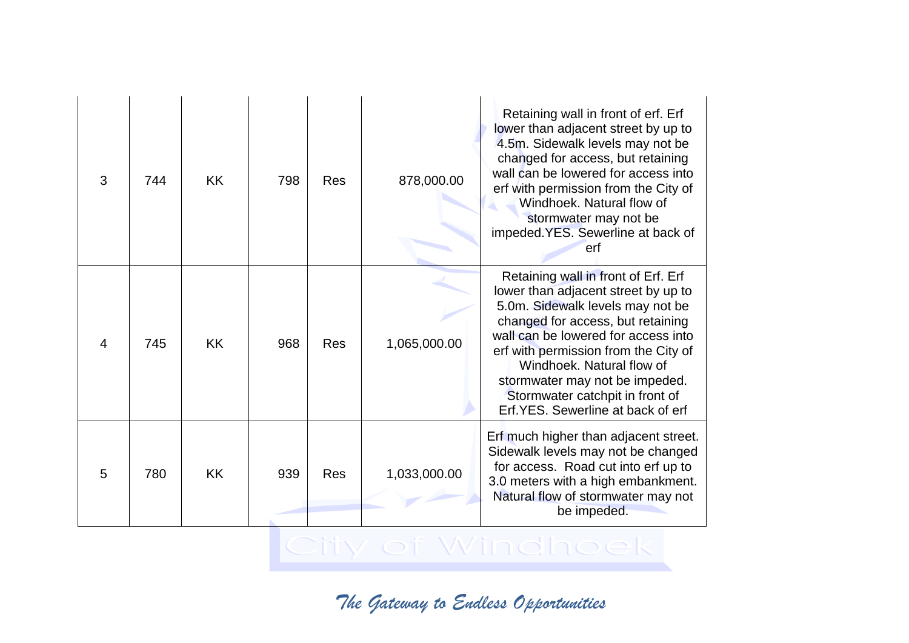| 3              | 744 | <b>KK</b> | 798 | <b>Res</b> | 878,000.00   | Retaining wall in front of erf. Erf<br>lower than adjacent street by up to<br>4.5m. Sidewalk levels may not be<br>changed for access, but retaining<br>wall can be lowered for access into<br>erf with permission from the City of<br>Windhoek. Natural flow of<br>stormwater may not be<br>impeded. YES. Sewerline at back of<br>erf                                        |
|----------------|-----|-----------|-----|------------|--------------|------------------------------------------------------------------------------------------------------------------------------------------------------------------------------------------------------------------------------------------------------------------------------------------------------------------------------------------------------------------------------|
| $\overline{4}$ | 745 | <b>KK</b> | 968 | <b>Res</b> | 1,065,000.00 | Retaining wall in front of Erf. Erf.<br>lower than adjacent street by up to<br>5.0m. Sidewalk levels may not be<br>changed for access, but retaining<br>wall can be lowered for access into<br>erf with permission from the City of<br>Windhoek. Natural flow of<br>stormwater may not be impeded.<br>Stormwater catchpit in front of<br>Erf. YES. Sewerline at back of erf. |
| 5              | 780 | <b>KK</b> | 939 | <b>Res</b> | 1,033,000.00 | Erf much higher than adjacent street.<br>Sidewalk levels may not be changed<br>for access. Road cut into erf up to<br>3.0 meters with a high embankment.<br>Natural flow of stormwater may not<br>be impeded.                                                                                                                                                                |

City of Windhoek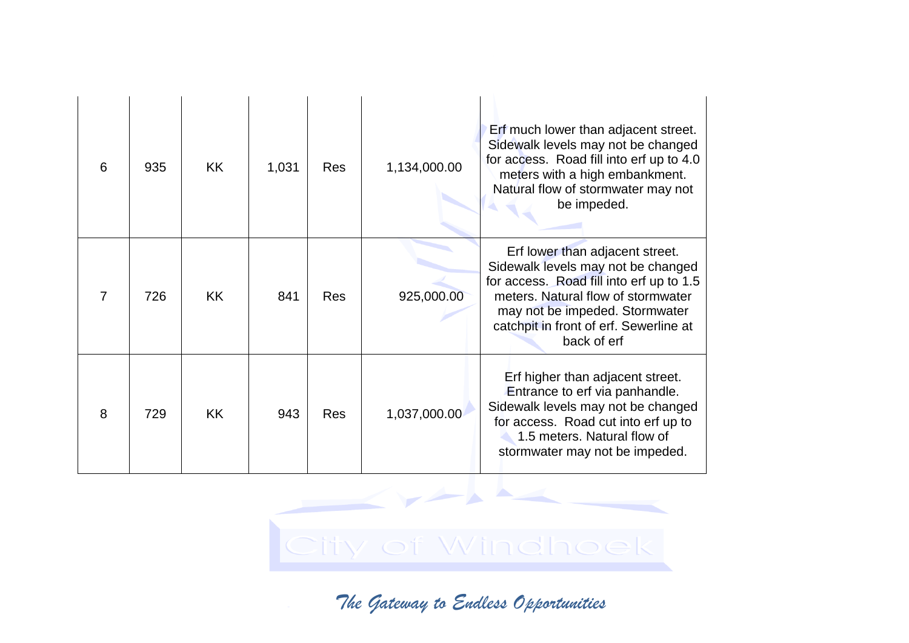| 6 | 935 | KK.       | 1,031 | <b>Res</b> | 1,134,000.00 | Erf much lower than adjacent street.<br>Sidewalk levels may not be changed<br>for access. Road fill into erf up to 4.0<br>meters with a high embankment.<br>Natural flow of stormwater may not<br>be impeded.                                      |
|---|-----|-----------|-------|------------|--------------|----------------------------------------------------------------------------------------------------------------------------------------------------------------------------------------------------------------------------------------------------|
|   | 726 | <b>KK</b> | 841   | <b>Res</b> | 925,000.00   | Erf lower than adjacent street.<br>Sidewalk levels may not be changed<br>for access. Road fill into erf up to 1.5<br>meters. Natural flow of stormwater<br>may not be impeded. Stormwater<br>catchpit in front of erf. Sewerline at<br>back of erf |
| 8 | 729 | <b>KK</b> | 943   | Res        | 1,037,000.00 | Erf higher than adjacent street.<br>Entrance to erf via panhandle.<br>Sidewalk levels may not be changed<br>for access. Road cut into erf up to<br>1.5 meters. Natural flow of<br>stormwater may not be impeded.                                   |

## $0e<sub>k</sub>$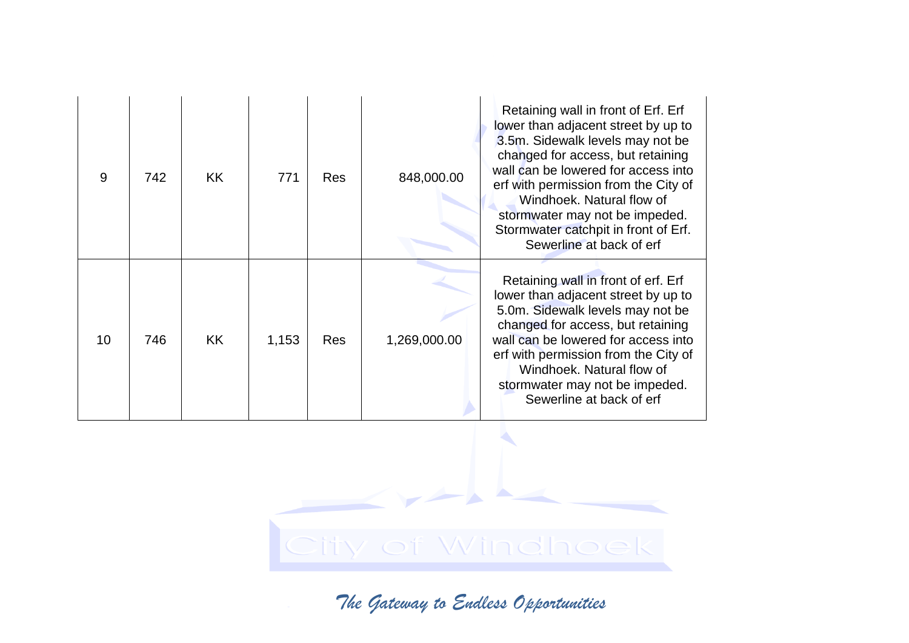| 9               | 742 | <b>KK</b> | 771   | <b>Res</b> | 848,000.00   | Retaining wall in front of Erf. Erf.<br>lower than adjacent street by up to<br>3.5m. Sidewalk levels may not be<br>changed for access, but retaining<br>wall can be lowered for access into<br>erf with permission from the City of<br>Windhoek, Natural flow of<br>stormwater may not be impeded.<br>Stormwater catchpit in front of Erf.<br>Sewerline at back of erf |
|-----------------|-----|-----------|-------|------------|--------------|------------------------------------------------------------------------------------------------------------------------------------------------------------------------------------------------------------------------------------------------------------------------------------------------------------------------------------------------------------------------|
| 10 <sup>°</sup> | 746 | <b>KK</b> | 1,153 | <b>Res</b> | 1,269,000.00 | Retaining wall in front of erf. Erf.<br>lower than adjacent street by up to<br>5.0m. Sidewalk levels may not be<br>changed for access, but retaining<br>wall can be lowered for access into<br>erf with permission from the City of<br>Windhoek, Natural flow of<br>stormwater may not be impeded.<br>Sewerline at back of erf                                         |

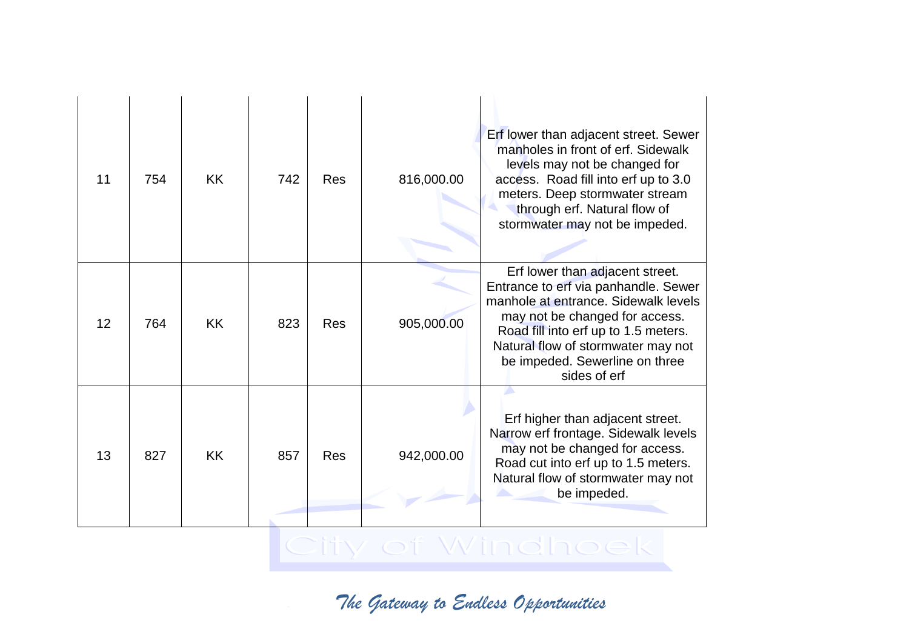| 11 | 754 | <b>KK</b> | 742 | <b>Res</b> | 816,000.00 | Erf lower than adjacent street. Sewer<br>manholes in front of erf. Sidewalk<br>levels may not be changed for<br>access. Road fill into erf up to 3.0<br>meters. Deep stormwater stream<br>through erf. Natural flow of<br>stormwater may not be impeded.                          |
|----|-----|-----------|-----|------------|------------|-----------------------------------------------------------------------------------------------------------------------------------------------------------------------------------------------------------------------------------------------------------------------------------|
| 12 | 764 | <b>KK</b> | 823 | Res        | 905,000.00 | Erf lower than adjacent street.<br>Entrance to erf via panhandle. Sewer<br>manhole at entrance. Sidewalk levels<br>may not be changed for access.<br>Road fill into erf up to 1.5 meters.<br>Natural flow of stormwater may not<br>be impeded. Sewerline on three<br>sides of erf |
| 13 | 827 | <b>KK</b> | 857 | <b>Res</b> | 942,000.00 | Erf higher than adjacent street.<br>Narrow erf frontage. Sidewalk levels<br>may not be changed for access.<br>Road cut into erf up to 1.5 meters.<br>Natural flow of stormwater may not<br>be impeded.                                                                            |

City of Windhoek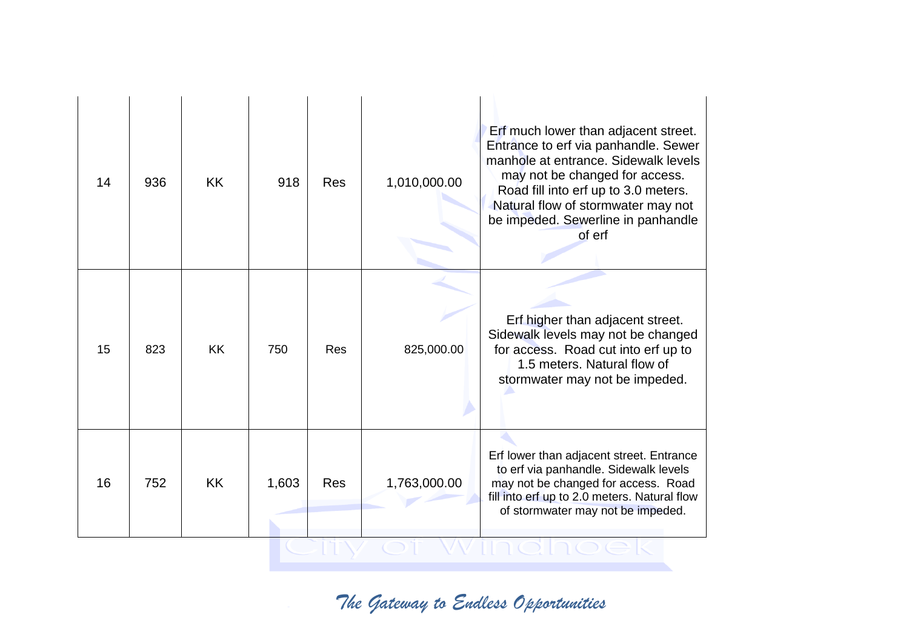| 14 | 936 | <b>KK</b> | 918   | <b>Res</b> | 1,010,000.00 | Erf much lower than adjacent street.<br>Entrance to erf via panhandle. Sewer<br>manhole at entrance. Sidewalk levels<br>may not be changed for access.<br>Road fill into erf up to 3.0 meters.<br>Natural flow of stormwater may not<br>be impeded. Sewerline in panhandle<br>of erf |  |
|----|-----|-----------|-------|------------|--------------|--------------------------------------------------------------------------------------------------------------------------------------------------------------------------------------------------------------------------------------------------------------------------------------|--|
| 15 | 823 | <b>KK</b> | 750   | <b>Res</b> | 825,000.00   | Erf higher than adjacent street.<br>Sidewalk levels may not be changed<br>for access. Road cut into erf up to<br>1.5 meters. Natural flow of<br>stormwater may not be impeded.                                                                                                       |  |
| 16 | 752 | <b>KK</b> | 1,603 | <b>Res</b> | 1,763,000.00 | Erf lower than adjacent street. Entrance<br>to erf via panhandle. Sidewalk levels<br>may not be changed for access. Road<br>fill into erf up to 2.0 meters. Natural flow<br>of stormwater may not be impeded.                                                                        |  |
|    |     |           |       |            |              |                                                                                                                                                                                                                                                                                      |  |